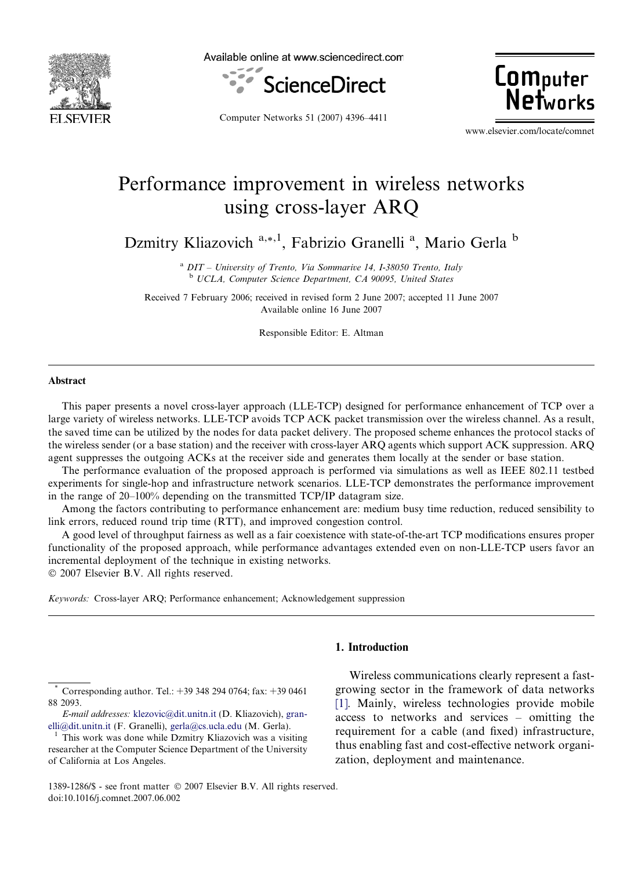

Available online at www.sciencedirect.com



Computer Networks 51 (2007) 4396–4411

**Computer Networks** 

www.elsevier.com/locate/comnet

# Performance improvement in wireless networks using cross-layer ARQ

Dzmitry Kliazovich<sup>a,\*,1</sup>, Fabrizio Granelli<sup>a</sup>, Mario Gerla<sup>b</sup>

 $a$  DIT – University of Trento, Via Sommarive 14, I-38050 Trento, Italy <sup>b</sup> UCLA, Computer Science Department, CA 90095, United States

Received 7 February 2006; received in revised form 2 June 2007; accepted 11 June 2007 Available online 16 June 2007

Responsible Editor: E. Altman

#### Abstract

This paper presents a novel cross-layer approach (LLE-TCP) designed for performance enhancement of TCP over a large variety of wireless networks. LLE-TCP avoids TCP ACK packet transmission over the wireless channel. As a result, the saved time can be utilized by the nodes for data packet delivery. The proposed scheme enhances the protocol stacks of the wireless sender (or a base station) and the receiver with cross-layer ARQ agents which support ACK suppression. ARQ agent suppresses the outgoing ACKs at the receiver side and generates them locally at the sender or base station.

The performance evaluation of the proposed approach is performed via simulations as well as IEEE 802.11 testbed experiments for single-hop and infrastructure network scenarios. LLE-TCP demonstrates the performance improvement in the range of 20–100% depending on the transmitted TCP/IP datagram size.

Among the factors contributing to performance enhancement are: medium busy time reduction, reduced sensibility to link errors, reduced round trip time (RTT), and improved congestion control.

A good level of throughput fairness as well as a fair coexistence with state-of-the-art TCP modifications ensures proper functionality of the proposed approach, while performance advantages extended even on non-LLE-TCP users favor an incremental deployment of the technique in existing networks. © 2007 Elsevier B.V. All rights reserved.

Keywords: Cross-layer ARQ; Performance enhancement; Acknowledgement suppression

Corresponding author. Tel.: +39 348 294 0764; fax: +39 0461 88 2093.

E-mail addresses: [klezovic@dit.unitn.it](mailto:klezovic@dit.unitn.it) (D. Kliazovich), [gran](mailto:granelli@dit.unitn.it)[elli@dit.unitn.it](mailto:granelli@dit.unitn.it) (F. Granelli), [gerla@cs.ucla.edu](mailto:gerla@cs.ucla.edu) (M. Gerla).<br><sup>1</sup> This work was done while Dzmitry Kliazovich was a visiting

# 1. Introduction

Wireless communications clearly represent a fastgrowing sector in the framework of data networks [\[1\].](#page-13-0) Mainly, wireless technologies provide mobile access to networks and services – omitting the requirement for a cable (and fixed) infrastructure, thus enabling fast and cost-effective network organization, deployment and maintenance.

researcher at the Computer Science Department of the University of California at Los Angeles.

<sup>1389-1286/\$ -</sup> see front matter © 2007 Elsevier B.V. All rights reserved. doi:10.1016/j.comnet.2007.06.002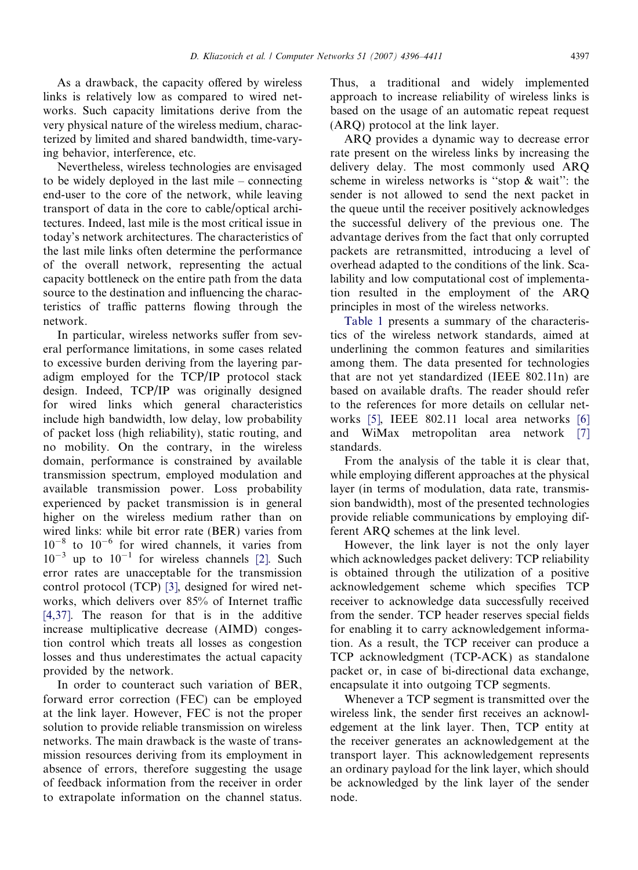As a drawback, the capacity offered by wireless links is relatively low as compared to wired net-

works. Such capacity limitations derive from the very physical nature of the wireless medium, characterized by limited and shared bandwidth, time-varying behavior, interference, etc.

Nevertheless, wireless technologies are envisaged to be widely deployed in the last mile – connecting end-user to the core of the network, while leaving transport of data in the core to cable/optical architectures. Indeed, last mile is the most critical issue in today's network architectures. The characteristics of the last mile links often determine the performance of the overall network, representing the actual capacity bottleneck on the entire path from the data source to the destination and influencing the characteristics of traffic patterns flowing through the network.

In particular, wireless networks suffer from several performance limitations, in some cases related to excessive burden deriving from the layering paradigm employed for the TCP/IP protocol stack design. Indeed, TCP/IP was originally designed for wired links which general characteristics include high bandwidth, low delay, low probability of packet loss (high reliability), static routing, and no mobility. On the contrary, in the wireless domain, performance is constrained by available transmission spectrum, employed modulation and available transmission power. Loss probability experienced by packet transmission is in general higher on the wireless medium rather than on wired links: while bit error rate (BER) varies from  $10^{-8}$  to  $10^{-6}$  for wired channels, it varies from  $10^{-3}$  up to  $10^{-1}$  for wireless channels [\[2\].](#page-13-0) Such error rates are unacceptable for the transmission control protocol (TCP) [\[3\]](#page-13-0), designed for wired networks, which delivers over 85% of Internet traffic [\[4,37\].](#page-13-0) The reason for that is in the additive increase multiplicative decrease (AIMD) congestion control which treats all losses as congestion losses and thus underestimates the actual capacity provided by the network.

In order to counteract such variation of BER, forward error correction (FEC) can be employed at the link layer. However, FEC is not the proper solution to provide reliable transmission on wireless networks. The main drawback is the waste of transmission resources deriving from its employment in absence of errors, therefore suggesting the usage of feedback information from the receiver in order to extrapolate information on the channel status.

Thus, a traditional and widely implemented approach to increase reliability of wireless links is based on the usage of an automatic repeat request (ARQ) protocol at the link layer.

ARQ provides a dynamic way to decrease error rate present on the wireless links by increasing the delivery delay. The most commonly used ARQ scheme in wireless networks is ''stop & wait'': the sender is not allowed to send the next packet in the queue until the receiver positively acknowledges the successful delivery of the previous one. The advantage derives from the fact that only corrupted packets are retransmitted, introducing a level of overhead adapted to the conditions of the link. Scalability and low computational cost of implementation resulted in the employment of the ARQ principles in most of the wireless networks.

[Table 1](#page-2-0) presents a summary of the characteristics of the wireless network standards, aimed at underlining the common features and similarities among them. The data presented for technologies that are not yet standardized (IEEE 802.11n) are based on available drafts. The reader should refer to the references for more details on cellular networks [\[5\]](#page-13-0), IEEE 802.11 local area networks [\[6\]](#page-13-0) and WiMax metropolitan area network [\[7\]](#page-13-0) standards.

From the analysis of the table it is clear that, while employing different approaches at the physical layer (in terms of modulation, data rate, transmission bandwidth), most of the presented technologies provide reliable communications by employing different ARQ schemes at the link level.

However, the link layer is not the only layer which acknowledges packet delivery: TCP reliability is obtained through the utilization of a positive acknowledgement scheme which specifies TCP receiver to acknowledge data successfully received from the sender. TCP header reserves special fields for enabling it to carry acknowledgement information. As a result, the TCP receiver can produce a TCP acknowledgment (TCP-ACK) as standalone packet or, in case of bi-directional data exchange, encapsulate it into outgoing TCP segments.

Whenever a TCP segment is transmitted over the wireless link, the sender first receives an acknowledgement at the link layer. Then, TCP entity at the receiver generates an acknowledgement at the transport layer. This acknowledgement represents an ordinary payload for the link layer, which should be acknowledged by the link layer of the sender node.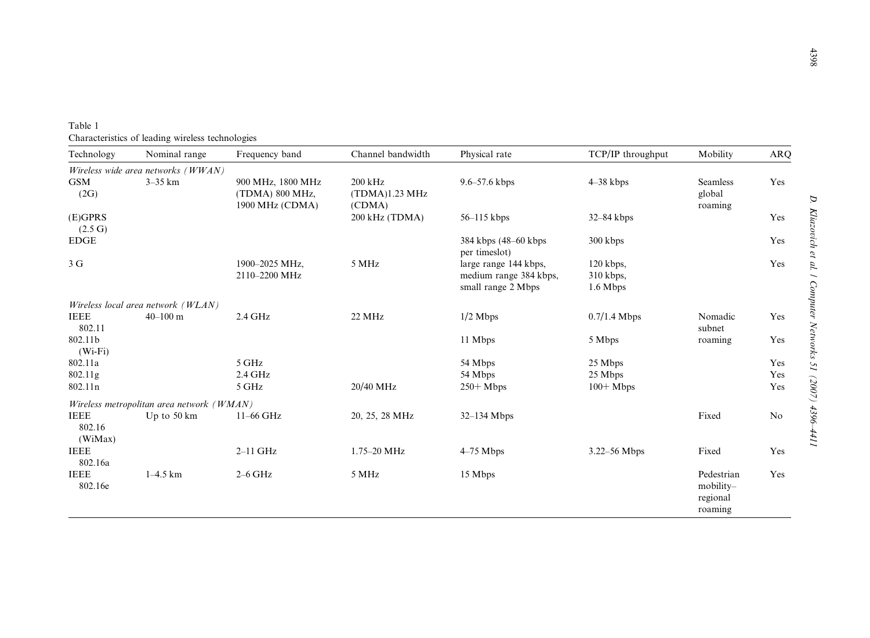<span id="page-2-0"></span>

| Table 1                                          |  |
|--------------------------------------------------|--|
| Characteristics of leading wireless technologies |  |

| Technology                       | Nominal range                                            | Frequency band                                          | Channel bandwidth                   | Physical rate                                                         | TCP/IP throughput                      | Mobility                                       | <b>ARQ</b>        |
|----------------------------------|----------------------------------------------------------|---------------------------------------------------------|-------------------------------------|-----------------------------------------------------------------------|----------------------------------------|------------------------------------------------|-------------------|
|                                  | Wireless wide area networks (WWAN)                       |                                                         |                                     |                                                                       |                                        |                                                |                   |
| <b>GSM</b><br>(2G)               | $3-35$ km                                                | 900 MHz, 1800 MHz<br>(TDMA) 800 MHz,<br>1900 MHz (CDMA) | 200 kHz<br>(TDMA)1.23 MHz<br>(CDMA) | $9.6 - 57.6$ kbps                                                     | $4 - 38$ kbps                          | <b>Seamless</b><br>global<br>roaming           | Yes               |
| $(E)$ GPRS                       |                                                          |                                                         | 200 kHz (TDMA)                      | $56-115$ kbps                                                         | $32 - 84$ kbps                         |                                                | Yes               |
| (2.5 G)<br><b>EDGE</b>           |                                                          |                                                         |                                     | 384 kbps (48–60 kbps)<br>per timeslot)                                | 300 kbps                               |                                                | Yes               |
| 3 <sub>G</sub>                   |                                                          | 1900-2025 MHz,<br>2110-2200 MHz                         | 5 MHz                               | large range 144 kbps,<br>medium range 384 kbps,<br>small range 2 Mbps | $120$ kbps,<br>$310$ kbps,<br>1.6 Mbps |                                                | Yes               |
|                                  | Wireless local area network (WLAN)                       |                                                         |                                     |                                                                       |                                        |                                                |                   |
| <b>IEEE</b><br>802.11            | $40 - 100$ m                                             | $2.4$ GHz                                               | 22 MHz                              | $1/2$ Mbps                                                            | $0.7/1.4$ Mbps                         | Nomadic<br>subnet                              | Yes               |
| 802.11b<br>$(Wi-Fi)$             |                                                          |                                                         |                                     | 11 Mbps                                                               | 5 Mbps                                 | roaming                                        | Yes               |
| 802.11a<br>802.11g<br>802.11n    |                                                          | 5 GHz<br>2.4 GHz<br>5 GHz                               | 20/40 MHz                           | 54 Mbps<br>54 Mbps                                                    | 25 Mbps<br>25 Mbps                     |                                                | Yes<br>Yes<br>Yes |
|                                  |                                                          |                                                         |                                     | $250+   Mbps$                                                         | $100+Mbps$                             |                                                |                   |
| <b>IEEE</b><br>802.16<br>(WiMax) | Wireless metropolitan area network (WMAN)<br>Up to 50 km | 11-66 GHz                                               | 20, 25, 28 MHz                      | $32-134$ Mbps                                                         |                                        | Fixed                                          | No                |
| <b>IEEE</b><br>802.16a           |                                                          | $2-11$ GHz                                              | 1.75-20 MHz                         | $4-75$ Mbps                                                           | $3.22 - 56$ Mbps                       | Fixed                                          | Yes               |
| <b>IEEE</b><br>802.16e           | $1-4.5$ km                                               | $2-6$ GHz                                               | 5 MHz                               | 15 Mbps                                                               |                                        | Pedestrian<br>mobility-<br>regional<br>roaming | Yes               |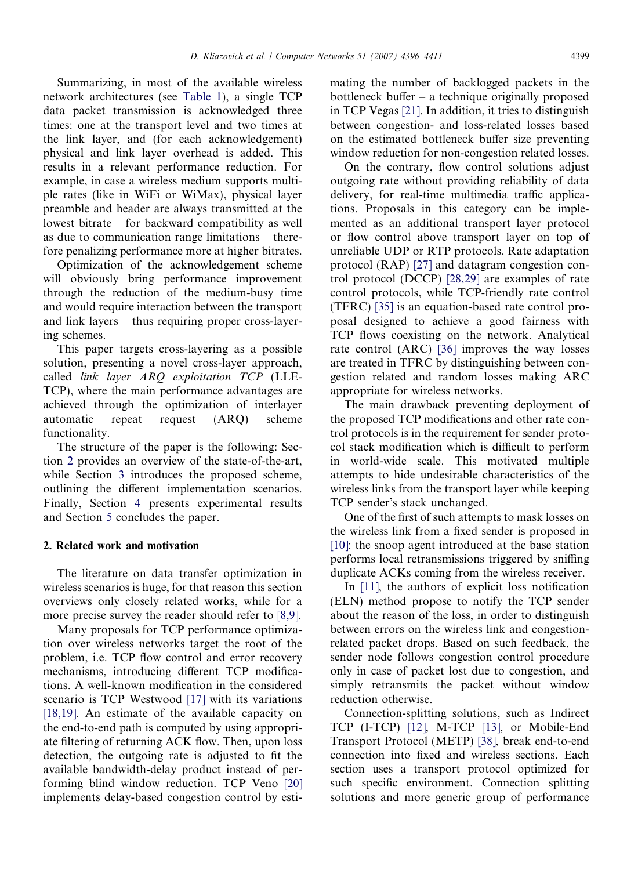Summarizing, in most of the available wireless network architectures (see [Table 1\)](#page-2-0), a single TCP data packet transmission is acknowledged three times: one at the transport level and two times at the link layer, and (for each acknowledgement) physical and link layer overhead is added. This results in a relevant performance reduction. For example, in case a wireless medium supports multiple rates (like in WiFi or WiMax), physical layer preamble and header are always transmitted at the lowest bitrate – for backward compatibility as well as due to communication range limitations – therefore penalizing performance more at higher bitrates.

Optimization of the acknowledgement scheme will obviously bring performance improvement through the reduction of the medium-busy time and would require interaction between the transport and link layers – thus requiring proper cross-layering schemes.

This paper targets cross-layering as a possible solution, presenting a novel cross-layer approach, called link layer ARQ exploitation TCP (LLE-TCP), where the main performance advantages are achieved through the optimization of interlayer automatic repeat request (ARQ) scheme functionality.

The structure of the paper is the following: Section 2 provides an overview of the state-of-the-art, while Section [3](#page-4-0) introduces the proposed scheme, outlining the different implementation scenarios. Finally, Section [4](#page-8-0) presents experimental results and Section [5](#page-13-0) concludes the paper.

#### 2. Related work and motivation

The literature on data transfer optimization in wireless scenarios is huge, for that reason this section overviews only closely related works, while for a more precise survey the reader should refer to [\[8,9\].](#page-13-0)

Many proposals for TCP performance optimization over wireless networks target the root of the problem, i.e. TCP flow control and error recovery mechanisms, introducing different TCP modifications. A well-known modification in the considered scenario is TCP Westwood [\[17\]](#page-14-0) with its variations [\[18,19\].](#page-14-0) An estimate of the available capacity on the end-to-end path is computed by using appropriate filtering of returning ACK flow. Then, upon loss detection, the outgoing rate is adjusted to fit the available bandwidth-delay product instead of performing blind window reduction. TCP Veno [\[20\]](#page-14-0) implements delay-based congestion control by esti-

mating the number of backlogged packets in the bottleneck buffer – a technique originally proposed in TCP Vegas [\[21\]](#page-14-0). In addition, it tries to distinguish between congestion- and loss-related losses based on the estimated bottleneck buffer size preventing window reduction for non-congestion related losses.

On the contrary, flow control solutions adjust outgoing rate without providing reliability of data delivery, for real-time multimedia traffic applications. Proposals in this category can be implemented as an additional transport layer protocol or flow control above transport layer on top of unreliable UDP or RTP protocols. Rate adaptation protocol (RAP) [\[27\]](#page-14-0) and datagram congestion control protocol (DCCP) [\[28,29\]](#page-14-0) are examples of rate control protocols, while TCP-friendly rate control (TFRC) [\[35\]](#page-14-0) is an equation-based rate control proposal designed to achieve a good fairness with TCP flows coexisting on the network. Analytical rate control (ARC) [\[36\]](#page-14-0) improves the way losses are treated in TFRC by distinguishing between congestion related and random losses making ARC appropriate for wireless networks.

The main drawback preventing deployment of the proposed TCP modifications and other rate control protocols is in the requirement for sender protocol stack modification which is difficult to perform in world-wide scale. This motivated multiple attempts to hide undesirable characteristics of the wireless links from the transport layer while keeping TCP sender's stack unchanged.

One of the first of such attempts to mask losses on the wireless link from a fixed sender is proposed in [\[10\]](#page-13-0): the snoop agent introduced at the base station performs local retransmissions triggered by sniffing duplicate ACKs coming from the wireless receiver.

In [\[11\]](#page-13-0), the authors of explicit loss notification (ELN) method propose to notify the TCP sender about the reason of the loss, in order to distinguish between errors on the wireless link and congestionrelated packet drops. Based on such feedback, the sender node follows congestion control procedure only in case of packet lost due to congestion, and simply retransmits the packet without window reduction otherwise.

Connection-splitting solutions, such as Indirect TCP (I-TCP) [\[12\]](#page-13-0), M-TCP [\[13\],](#page-14-0) or Mobile-End Transport Protocol (METP) [\[38\]](#page-14-0), break end-to-end connection into fixed and wireless sections. Each section uses a transport protocol optimized for such specific environment. Connection splitting solutions and more generic group of performance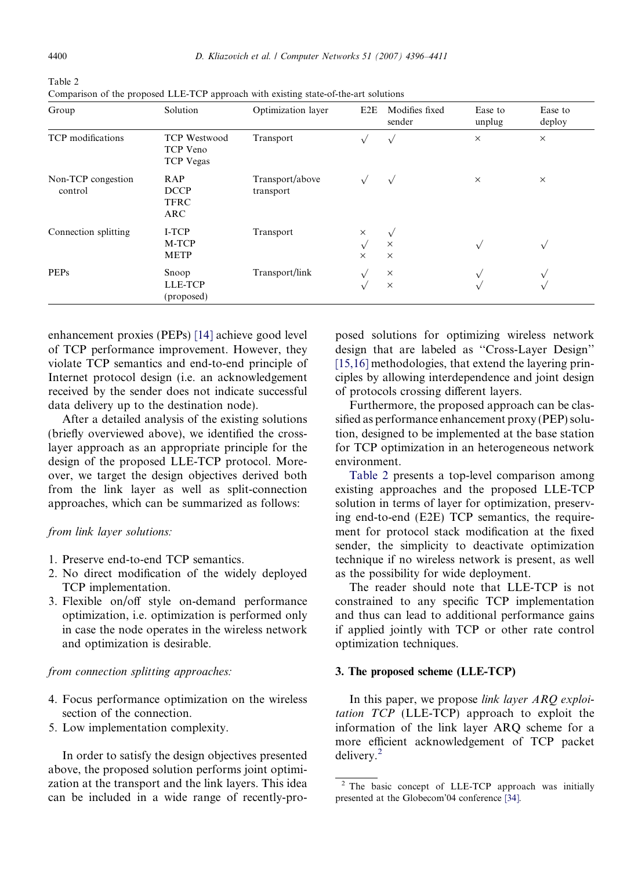| Group                         | Solution                                            | Optimization layer           | E <sub>2</sub> E                   | Modifies fixed<br>sender           | Ease to<br>unplug | Ease to<br>deploy |
|-------------------------------|-----------------------------------------------------|------------------------------|------------------------------------|------------------------------------|-------------------|-------------------|
| TCP modifications             | <b>TCP Westwood</b><br>TCP Veno<br><b>TCP Vegas</b> | Transport                    |                                    | $\sqrt{ }$                         | $\times$          | $\times$          |
| Non-TCP congestion<br>control | RAP<br><b>DCCP</b><br><b>TFRC</b><br><b>ARC</b>     | Transport/above<br>transport |                                    | $\sqrt{ }$                         | $\times$          | $\times$          |
| Connection splitting          | I-TCP<br>M-TCP<br><b>METP</b>                       | Transport                    | $\times$<br>$\sqrt{ }$<br>$\times$ | $\sqrt{ }$<br>$\times$<br>$\times$ | $\sqrt{ }$        | $\sqrt{ }$        |
| <b>PEPs</b>                   | Snoop<br>LLE-TCP<br>(proposed)                      | Transport/link               |                                    | $\times$<br>$\times$               | $\sqrt{ }$        |                   |

<span id="page-4-0"></span>Table 2 Comparison of the proposed LLE-TCP approach with existing state-of-the-art solutions

enhancement proxies (PEPs) [\[14\]](#page-14-0) achieve good level of TCP performance improvement. However, they violate TCP semantics and end-to-end principle of Internet protocol design (i.e. an acknowledgement received by the sender does not indicate successful data delivery up to the destination node).

After a detailed analysis of the existing solutions (briefly overviewed above), we identified the crosslayer approach as an appropriate principle for the design of the proposed LLE-TCP protocol. Moreover, we target the design objectives derived both from the link layer as well as split-connection approaches, which can be summarized as follows:

#### from link layer solutions:

- 1. Preserve end-to-end TCP semantics.
- 2. No direct modification of the widely deployed TCP implementation.
- 3. Flexible on/off style on-demand performance optimization, i.e. optimization is performed only in case the node operates in the wireless network and optimization is desirable.

## from connection splitting approaches:

- 4. Focus performance optimization on the wireless section of the connection.
- 5. Low implementation complexity.

In order to satisfy the design objectives presented above, the proposed solution performs joint optimization at the transport and the link layers. This idea can be included in a wide range of recently-pro-

posed solutions for optimizing wireless network design that are labeled as ''Cross-Layer Design'' [\[15,16\]](#page-14-0) methodologies, that extend the layering principles by allowing interdependence and joint design of protocols crossing different layers.

Furthermore, the proposed approach can be classified as performance enhancement proxy (PEP) solution, designed to be implemented at the base station for TCP optimization in an heterogeneous network environment.

Table 2 presents a top-level comparison among existing approaches and the proposed LLE-TCP solution in terms of layer for optimization, preserving end-to-end (E2E) TCP semantics, the requirement for protocol stack modification at the fixed sender, the simplicity to deactivate optimization technique if no wireless network is present, as well as the possibility for wide deployment.

The reader should note that LLE-TCP is not constrained to any specific TCP implementation and thus can lead to additional performance gains if applied jointly with TCP or other rate control optimization techniques.

#### 3. The proposed scheme (LLE-TCP)

In this paper, we propose *link layer ARQ exploi*tation TCP (LLE-TCP) approach to exploit the information of the link layer ARQ scheme for a more efficient acknowledgement of TCP packet delivery.<sup>2</sup>

<sup>2</sup> The basic concept of LLE-TCP approach was initially presented at the Globecom'04 conference [\[34\].](#page-14-0)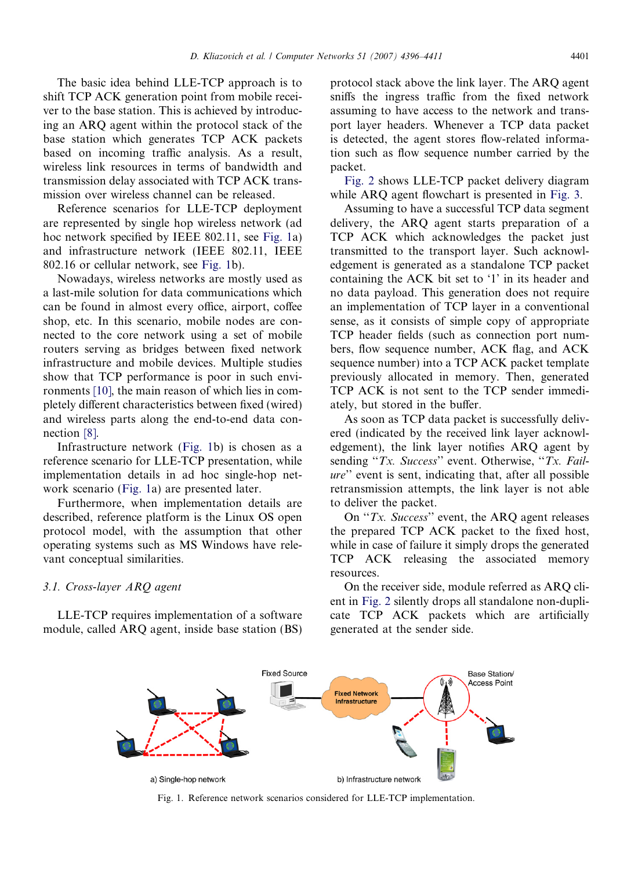<span id="page-5-0"></span>The basic idea behind LLE-TCP approach is to shift TCP ACK generation point from mobile receiver to the base station. This is achieved by introducing an ARQ agent within the protocol stack of the base station which generates TCP ACK packets based on incoming traffic analysis. As a result, wireless link resources in terms of bandwidth and transmission delay associated with TCP ACK transmission over wireless channel can be released.

Reference scenarios for LLE-TCP deployment are represented by single hop wireless network (ad hoc network specified by IEEE 802.11, see Fig. 1a) and infrastructure network (IEEE 802.11, IEEE 802.16 or cellular network, see Fig. 1b).

Nowadays, wireless networks are mostly used as a last-mile solution for data communications which can be found in almost every office, airport, coffee shop, etc. In this scenario, mobile nodes are connected to the core network using a set of mobile routers serving as bridges between fixed network infrastructure and mobile devices. Multiple studies show that TCP performance is poor in such environments [\[10\],](#page-13-0) the main reason of which lies in completely different characteristics between fixed (wired) and wireless parts along the end-to-end data connection [\[8\].](#page-13-0)

Infrastructure network (Fig. 1b) is chosen as a reference scenario for LLE-TCP presentation, while implementation details in ad hoc single-hop network scenario (Fig. 1a) are presented later.

Furthermore, when implementation details are described, reference platform is the Linux OS open protocol model, with the assumption that other operating systems such as MS Windows have relevant conceptual similarities.

3.1. Cross-layer ARQ agent

LLE-TCP requires implementation of a software module, called ARQ agent, inside base station (BS)

protocol stack above the link layer. The ARQ agent sniffs the ingress traffic from the fixed network assuming to have access to the network and transport layer headers. Whenever a TCP data packet is detected, the agent stores flow-related information such as flow sequence number carried by the packet.

[Fig. 2](#page-6-0) shows LLE-TCP packet delivery diagram while ARQ agent flowchart is presented in [Fig. 3.](#page-6-0)

Assuming to have a successful TCP data segment delivery, the ARQ agent starts preparation of a TCP ACK which acknowledges the packet just transmitted to the transport layer. Such acknowledgement is generated as a standalone TCP packet containing the ACK bit set to '1' in its header and no data payload. This generation does not require an implementation of TCP layer in a conventional sense, as it consists of simple copy of appropriate TCP header fields (such as connection port numbers, flow sequence number, ACK flag, and ACK sequence number) into a TCP ACK packet template previously allocated in memory. Then, generated TCP ACK is not sent to the TCP sender immediately, but stored in the buffer.

As soon as TCP data packet is successfully delivered (indicated by the received link layer acknowledgement), the link layer notifies ARQ agent by sending "Tx. Success" event. Otherwise, "Tx. Failure'' event is sent, indicating that, after all possible retransmission attempts, the link layer is not able to deliver the packet.

On ''Tx. Success'' event, the ARQ agent releases the prepared TCP ACK packet to the fixed host, while in case of failure it simply drops the generated TCP ACK releasing the associated memory resources.

On the receiver side, module referred as ARQ client in [Fig. 2](#page-6-0) silently drops all standalone non-duplicate TCP ACK packets which are artificially generated at the sender side.



Fig. 1. Reference network scenarios considered for LLE-TCP implementation.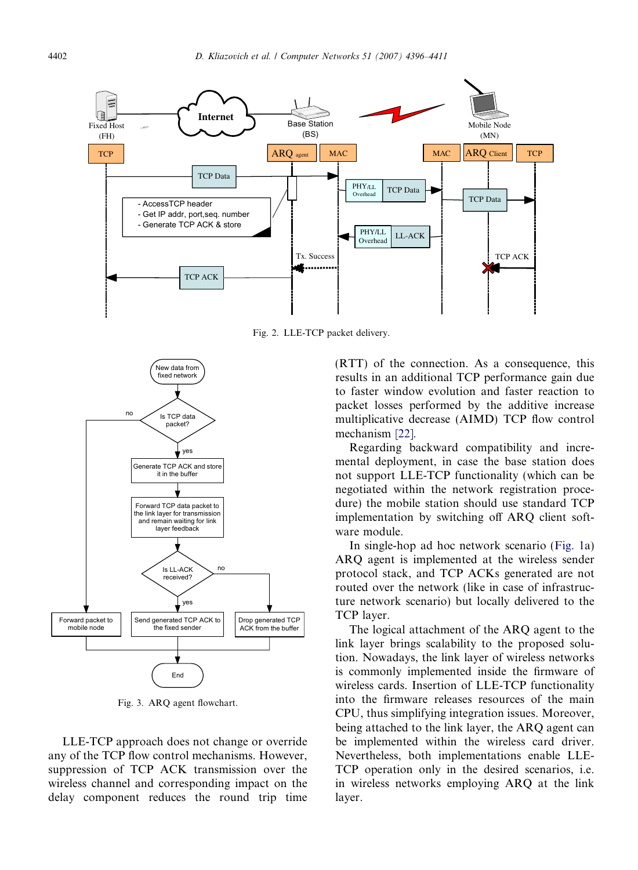<span id="page-6-0"></span>

Fig. 2. LLE-TCP packet delivery.



Fig. 3. ARQ agent flowchart.

LLE-TCP approach does not change or override any of the TCP flow control mechanisms. However, suppression of TCP ACK transmission over the wireless channel and corresponding impact on the delay component reduces the round trip time

(RTT) of the connection. As a consequence, this results in an additional TCP performance gain due to faster window evolution and faster reaction to packet losses performed by the additive increase multiplicative decrease (AIMD) TCP flow control mechanism [\[22\].](#page-14-0)

Regarding backward compatibility and incremental deployment, in case the base station does not support LLE-TCP functionality (which can be negotiated within the network registration procedure) the mobile station should use standard TCP implementation by switching off ARQ client software module.

In single-hop ad hoc network scenario [\(Fig. 1](#page-5-0)a) ARQ agent is implemented at the wireless sender protocol stack, and TCP ACKs generated are not routed over the network (like in case of infrastructure network scenario) but locally delivered to the TCP layer.

The logical attachment of the ARQ agent to the link layer brings scalability to the proposed solution. Nowadays, the link layer of wireless networks is commonly implemented inside the firmware of wireless cards. Insertion of LLE-TCP functionality into the firmware releases resources of the main CPU, thus simplifying integration issues. Moreover, being attached to the link layer, the ARQ agent can be implemented within the wireless card driver. Nevertheless, both implementations enable LLE-TCP operation only in the desired scenarios, i.e. in wireless networks employing ARQ at the link layer.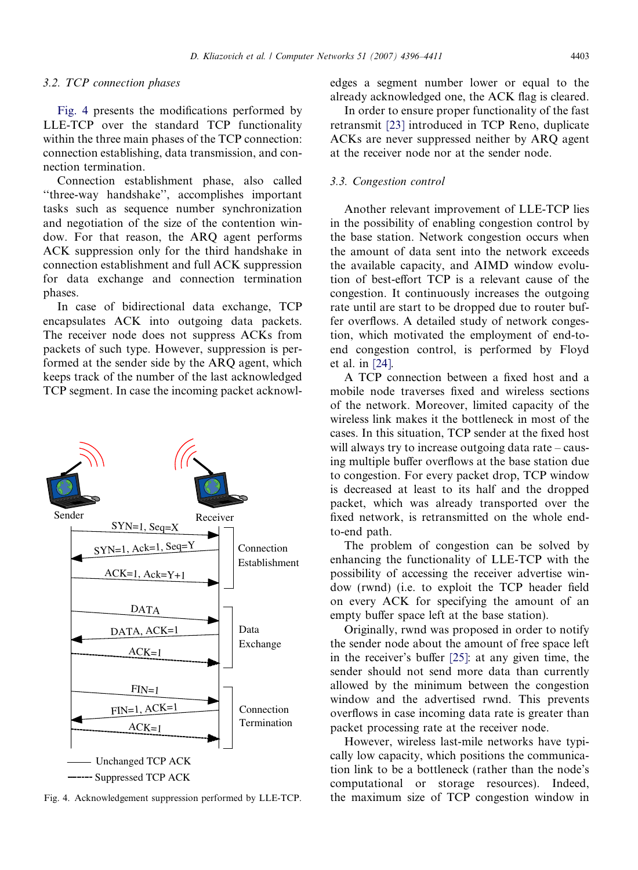#### 3.2. TCP connection phases

Fig. 4 presents the modifications performed by LLE-TCP over the standard TCP functionality within the three main phases of the TCP connection: connection establishing, data transmission, and connection termination.

Connection establishment phase, also called ''three-way handshake'', accomplishes important tasks such as sequence number synchronization and negotiation of the size of the contention window. For that reason, the ARQ agent performs ACK suppression only for the third handshake in connection establishment and full ACK suppression for data exchange and connection termination phases.

In case of bidirectional data exchange, TCP encapsulates ACK into outgoing data packets. The receiver node does not suppress ACKs from packets of such type. However, suppression is performed at the sender side by the ARQ agent, which keeps track of the number of the last acknowledged TCP segment. In case the incoming packet acknowl-



Fig. 4. Acknowledgement suppression performed by LLE-TCP.

edges a segment number lower or equal to the already acknowledged one, the ACK flag is cleared.

In order to ensure proper functionality of the fast retransmit [\[23\]](#page-14-0) introduced in TCP Reno, duplicate ACKs are never suppressed neither by ARQ agent at the receiver node nor at the sender node.

#### 3.3. Congestion control

Another relevant improvement of LLE-TCP lies in the possibility of enabling congestion control by the base station. Network congestion occurs when the amount of data sent into the network exceeds the available capacity, and AIMD window evolution of best-effort TCP is a relevant cause of the congestion. It continuously increases the outgoing rate until are start to be dropped due to router buffer overflows. A detailed study of network congestion, which motivated the employment of end-toend congestion control, is performed by Floyd et al. in [\[24\].](#page-14-0)

A TCP connection between a fixed host and a mobile node traverses fixed and wireless sections of the network. Moreover, limited capacity of the wireless link makes it the bottleneck in most of the cases. In this situation, TCP sender at the fixed host will always try to increase outgoing data rate – causing multiple buffer overflows at the base station due to congestion. For every packet drop, TCP window is decreased at least to its half and the dropped packet, which was already transported over the fixed network, is retransmitted on the whole endto-end path.

The problem of congestion can be solved by enhancing the functionality of LLE-TCP with the possibility of accessing the receiver advertise window (rwnd) (i.e. to exploit the TCP header field on every ACK for specifying the amount of an empty buffer space left at the base station).

Originally, rwnd was proposed in order to notify the sender node about the amount of free space left in the receiver's buffer [\[25\]](#page-14-0): at any given time, the sender should not send more data than currently allowed by the minimum between the congestion window and the advertised rwnd. This prevents overflows in case incoming data rate is greater than packet processing rate at the receiver node.

However, wireless last-mile networks have typically low capacity, which positions the communication link to be a bottleneck (rather than the node's computational or storage resources). Indeed, the maximum size of TCP congestion window in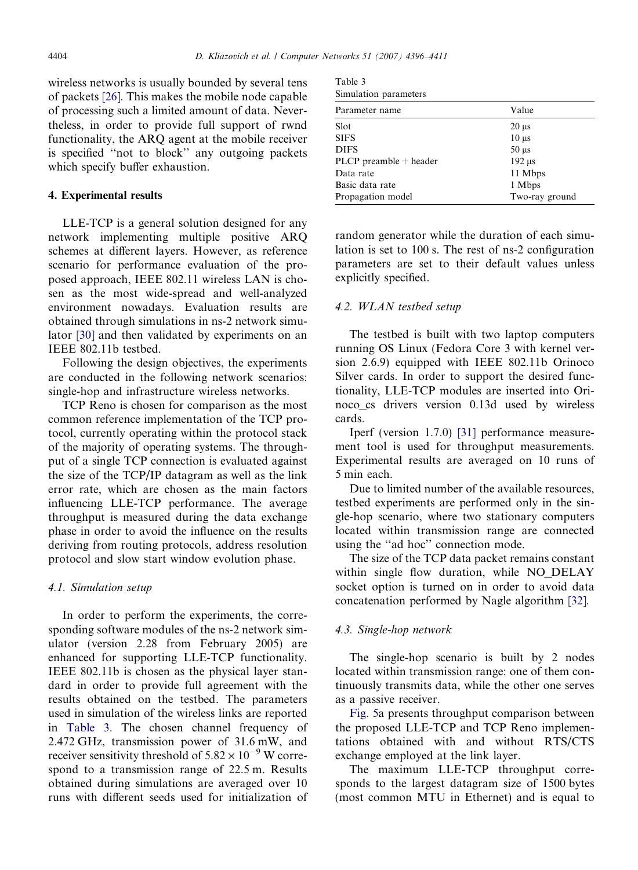<span id="page-8-0"></span>wireless networks is usually bounded by several tens of packets [\[26\].](#page-14-0) This makes the mobile node capable of processing such a limited amount of data. Nevertheless, in order to provide full support of rwnd functionality, the ARQ agent at the mobile receiver is specified ''not to block'' any outgoing packets which specify buffer exhaustion.

#### 4. Experimental results

LLE-TCP is a general solution designed for any network implementing multiple positive ARQ schemes at different layers. However, as reference scenario for performance evaluation of the proposed approach, IEEE 802.11 wireless LAN is chosen as the most wide-spread and well-analyzed environment nowadays. Evaluation results are obtained through simulations in ns-2 network simulator [\[30\]](#page-14-0) and then validated by experiments on an IEEE 802.11b testbed.

Following the design objectives, the experiments are conducted in the following network scenarios: single-hop and infrastructure wireless networks.

TCP Reno is chosen for comparison as the most common reference implementation of the TCP protocol, currently operating within the protocol stack of the majority of operating systems. The throughput of a single TCP connection is evaluated against the size of the TCP/IP datagram as well as the link error rate, which are chosen as the main factors influencing LLE-TCP performance. The average throughput is measured during the data exchange phase in order to avoid the influence on the results deriving from routing protocols, address resolution protocol and slow start window evolution phase.

#### 4.1. Simulation setup

In order to perform the experiments, the corresponding software modules of the ns-2 network simulator (version 2.28 from February 2005) are enhanced for supporting LLE-TCP functionality. IEEE 802.11b is chosen as the physical layer standard in order to provide full agreement with the results obtained on the testbed. The parameters used in simulation of the wireless links are reported in Table 3. The chosen channel frequency of 2.472 GHz, transmission power of 31.6 mW, and receiver sensitivity threshold of  $5.82 \times 10^{-9}$  W correspond to a transmission range of 22.5 m. Results obtained during simulations are averaged over 10 runs with different seeds used for initialization of

Table 3 Simulation parameters

| Parameter name             | Value                    |
|----------------------------|--------------------------|
| Slot                       | $20 \mu s$               |
| <b>SIFS</b>                | $10 \mu s$               |
| <b>DIFS</b>                | $50 \text{ }\mu\text{s}$ |
| $PLCP$ preamble $+$ header | $192 \mu s$              |
| Data rate                  | 11 Mbps                  |
| Basic data rate            | 1 Mbps                   |
| Propagation model          | Two-ray ground           |

random generator while the duration of each simulation is set to 100 s. The rest of ns-2 configuration parameters are set to their default values unless explicitly specified.

#### 4.2. WLAN testbed setup

The testbed is built with two laptop computers running OS Linux (Fedora Core 3 with kernel version 2.6.9) equipped with IEEE 802.11b Orinoco Silver cards. In order to support the desired functionality, LLE-TCP modules are inserted into Orinoco\_cs drivers version 0.13d used by wireless cards.

Iperf (version 1.7.0) [\[31\]](#page-14-0) performance measurement tool is used for throughput measurements. Experimental results are averaged on 10 runs of 5 min each.

Due to limited number of the available resources, testbed experiments are performed only in the single-hop scenario, where two stationary computers located within transmission range are connected using the ''ad hoc'' connection mode.

The size of the TCP data packet remains constant within single flow duration, while NO\_DELAY socket option is turned on in order to avoid data concatenation performed by Nagle algorithm [\[32\]](#page-14-0).

# 4.3. Single-hop network

The single-hop scenario is built by 2 nodes located within transmission range: one of them continuously transmits data, while the other one serves as a passive receiver.

[Fig. 5](#page-9-0)a presents throughput comparison between the proposed LLE-TCP and TCP Reno implementations obtained with and without RTS/CTS exchange employed at the link layer.

The maximum LLE-TCP throughput corresponds to the largest datagram size of 1500 bytes (most common MTU in Ethernet) and is equal to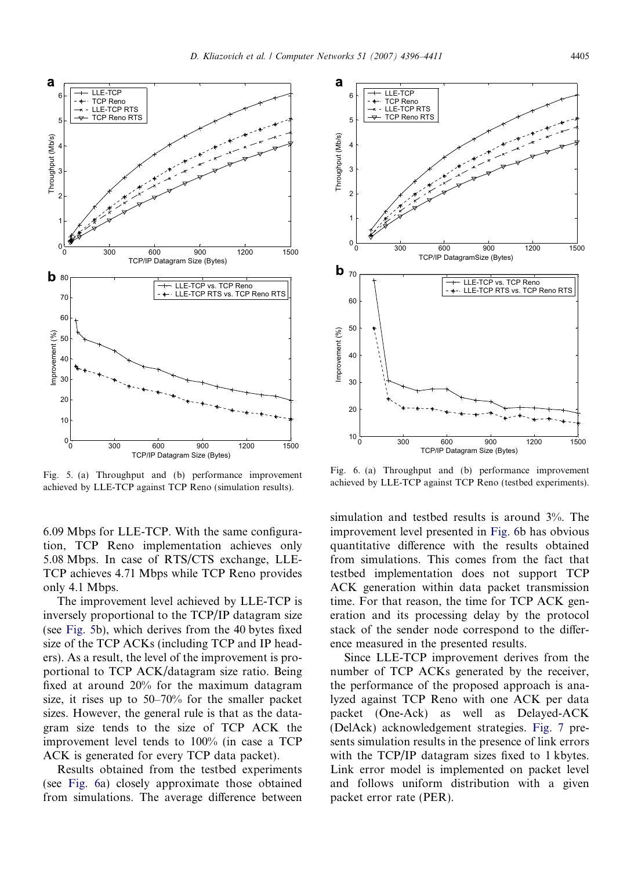<span id="page-9-0"></span>

Fig. 5. (a) Throughput and (b) performance improvement achieved by LLE-TCP against TCP Reno (simulation results).

6.09 Mbps for LLE-TCP. With the same configuration, TCP Reno implementation achieves only 5.08 Mbps. In case of RTS/CTS exchange, LLE-TCP achieves 4.71 Mbps while TCP Reno provides only 4.1 Mbps.

The improvement level achieved by LLE-TCP is inversely proportional to the TCP/IP datagram size (see Fig. 5b), which derives from the 40 bytes fixed size of the TCP ACKs (including TCP and IP headers). As a result, the level of the improvement is proportional to TCP ACK/datagram size ratio. Being fixed at around 20% for the maximum datagram size, it rises up to 50–70% for the smaller packet sizes. However, the general rule is that as the datagram size tends to the size of TCP ACK the improvement level tends to 100% (in case a TCP ACK is generated for every TCP data packet).

Results obtained from the testbed experiments (see Fig. 6a) closely approximate those obtained from simulations. The average difference between



Fig. 6. (a) Throughput and (b) performance improvement achieved by LLE-TCP against TCP Reno (testbed experiments).

simulation and testbed results is around 3%. The improvement level presented in Fig. 6b has obvious quantitative difference with the results obtained from simulations. This comes from the fact that testbed implementation does not support TCP ACK generation within data packet transmission time. For that reason, the time for TCP ACK generation and its processing delay by the protocol stack of the sender node correspond to the difference measured in the presented results.

Since LLE-TCP improvement derives from the number of TCP ACKs generated by the receiver, the performance of the proposed approach is analyzed against TCP Reno with one ACK per data packet (One-Ack) as well as Delayed-ACK (DelAck) acknowledgement strategies. [Fig. 7](#page-10-0) presents simulation results in the presence of link errors with the TCP/IP datagram sizes fixed to 1 kbytes. Link error model is implemented on packet level and follows uniform distribution with a given packet error rate (PER).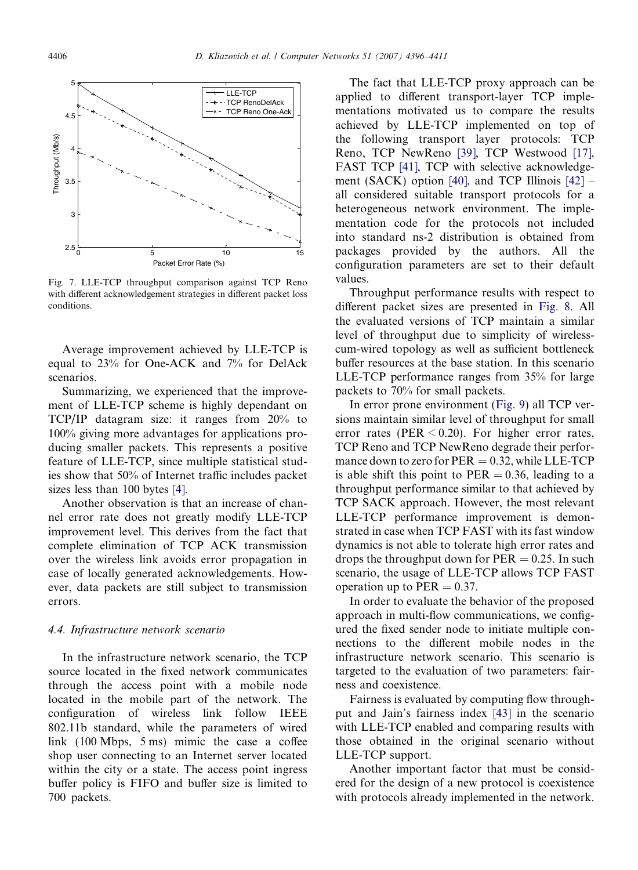<span id="page-10-0"></span>

Fig. 7. LLE-TCP throughput comparison against TCP Reno with different acknowledgement strategies in different packet loss conditions.

Average improvement achieved by LLE-TCP is equal to 23% for One-ACK and 7% for DelAck scenarios.

Summarizing, we experienced that the improvement of LLE-TCP scheme is highly dependant on TCP/IP datagram size: it ranges from 20% to 100% giving more advantages for applications producing smaller packets. This represents a positive feature of LLE-TCP, since multiple statistical studies show that 50% of Internet traffic includes packet sizes less than 100 bytes [\[4\].](#page-13-0)

Another observation is that an increase of channel error rate does not greatly modify LLE-TCP improvement level. This derives from the fact that complete elimination of TCP ACK transmission over the wireless link avoids error propagation in case of locally generated acknowledgements. However, data packets are still subject to transmission errors.

#### 4.4. Infrastructure network scenario

In the infrastructure network scenario, the TCP source located in the fixed network communicates through the access point with a mobile node located in the mobile part of the network. The configuration of wireless link follow IEEE 802.11b standard, while the parameters of wired link (100 Mbps, 5 ms) mimic the case a coffee shop user connecting to an Internet server located within the city or a state. The access point ingress buffer policy is FIFO and buffer size is limited to 700 packets.

The fact that LLE-TCP proxy approach can be applied to different transport-layer TCP implementations motivated us to compare the results achieved by LLE-TCP implemented on top of the following transport layer protocols: TCP Reno, TCP NewReno [\[39\],](#page-14-0) TCP Westwood [\[17\],](#page-14-0) FAST TCP [\[41\]](#page-14-0), TCP with selective acknowledge-ment (SACK) option [\[40\],](#page-14-0) and TCP Illinois  $[42]$  – all considered suitable transport protocols for a heterogeneous network environment. The implementation code for the protocols not included into standard ns-2 distribution is obtained from packages provided by the authors. All the configuration parameters are set to their default values.

Throughput performance results with respect to different packet sizes are presented in [Fig. 8.](#page-11-0) All the evaluated versions of TCP maintain a similar level of throughput due to simplicity of wirelesscum-wired topology as well as sufficient bottleneck buffer resources at the base station. In this scenario LLE-TCP performance ranges from 35% for large packets to 70% for small packets.

In error prone environment [\(Fig. 9](#page-12-0)) all TCP versions maintain similar level of throughput for small error rates (PER  $\leq$  0.20). For higher error rates, TCP Reno and TCP NewReno degrade their performance down to zero for  $PER = 0.32$ , while LLE-TCP is able shift this point to  $PER = 0.36$ , leading to a throughput performance similar to that achieved by TCP SACK approach. However, the most relevant LLE-TCP performance improvement is demonstrated in case when TCP FAST with its fast window dynamics is not able to tolerate high error rates and drops the throughput down for  $PER = 0.25$ . In such scenario, the usage of LLE-TCP allows TCP FAST operation up to  $PER = 0.37$ .

In order to evaluate the behavior of the proposed approach in multi-flow communications, we configured the fixed sender node to initiate multiple connections to the different mobile nodes in the infrastructure network scenario. This scenario is targeted to the evaluation of two parameters: fairness and coexistence.

Fairness is evaluated by computing flow throughput and Jain's fairness index [\[43\]](#page-14-0) in the scenario with LLE-TCP enabled and comparing results with those obtained in the original scenario without LLE-TCP support.

Another important factor that must be considered for the design of a new protocol is coexistence with protocols already implemented in the network.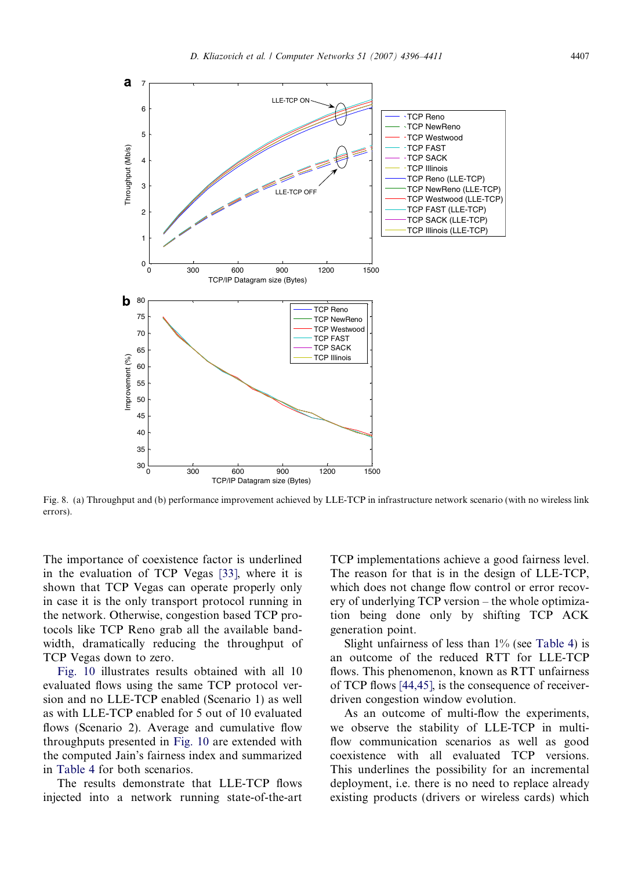<span id="page-11-0"></span>

Fig. 8. (a) Throughput and (b) performance improvement achieved by LLE-TCP in infrastructure network scenario (with no wireless link errors).

The importance of coexistence factor is underlined in the evaluation of TCP Vegas [\[33\]](#page-14-0), where it is shown that TCP Vegas can operate properly only in case it is the only transport protocol running in the network. Otherwise, congestion based TCP protocols like TCP Reno grab all the available bandwidth, dramatically reducing the throughput of TCP Vegas down to zero.

[Fig. 10](#page-12-0) illustrates results obtained with all 10 evaluated flows using the same TCP protocol version and no LLE-TCP enabled (Scenario 1) as well as with LLE-TCP enabled for 5 out of 10 evaluated flows (Scenario 2). Average and cumulative flow throughputs presented in [Fig. 10](#page-12-0) are extended with the computed Jain's fairness index and summarized in [Table 4](#page-12-0) for both scenarios.

The results demonstrate that LLE-TCP flows injected into a network running state-of-the-art

TCP implementations achieve a good fairness level. The reason for that is in the design of LLE-TCP, which does not change flow control or error recovery of underlying TCP version – the whole optimization being done only by shifting TCP ACK generation point.

Slight unfairness of less than  $1\%$  (see [Table 4\)](#page-12-0) is an outcome of the reduced RTT for LLE-TCP flows. This phenomenon, known as RTT unfairness of TCP flows [\[44,45\],](#page-14-0) is the consequence of receiverdriven congestion window evolution.

As an outcome of multi-flow the experiments, we observe the stability of LLE-TCP in multiflow communication scenarios as well as good coexistence with all evaluated TCP versions. This underlines the possibility for an incremental deployment, i.e. there is no need to replace already existing products (drivers or wireless cards) which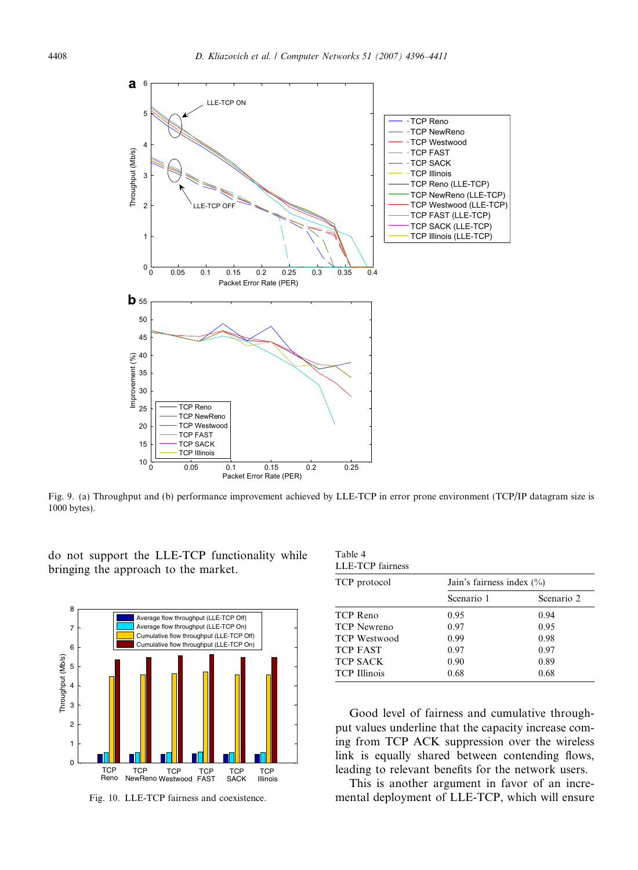<span id="page-12-0"></span>

Fig. 9. (a) Throughput and (b) performance improvement achieved by LLE-TCP in error prone environment (TCP/IP datagram size is 1000 bytes).

do not support the LLE-TCP functionality while bringing the approach to the market.



Fig. 10. LLE-TCP fairness and coexistence.

| Table 4                 |  |
|-------------------------|--|
| <b>LLE-TCP</b> fairness |  |

| TCP protocol        | Jain's fairness index $(\% )$ |            |  |  |
|---------------------|-------------------------------|------------|--|--|
|                     | Scenario 1                    | Scenario 2 |  |  |
| TCP Reno            | 0.95                          | 0.94       |  |  |
| <b>TCP</b> Newreno  | 0.97                          | 0.95       |  |  |
| <b>TCP</b> Westwood | 0.99                          | 0.98       |  |  |
| <b>TCP FAST</b>     | 0.97                          | 0.97       |  |  |
| <b>TCP SACK</b>     | 0.90                          | 0.89       |  |  |
| <b>TCP</b> Illinois | 0.68                          | 0.68       |  |  |

Good level of fairness and cumulative throughput values underline that the capacity increase coming from TCP ACK suppression over the wireless link is equally shared between contending flows, leading to relevant benefits for the network users.

This is another argument in favor of an incremental deployment of LLE-TCP, which will ensure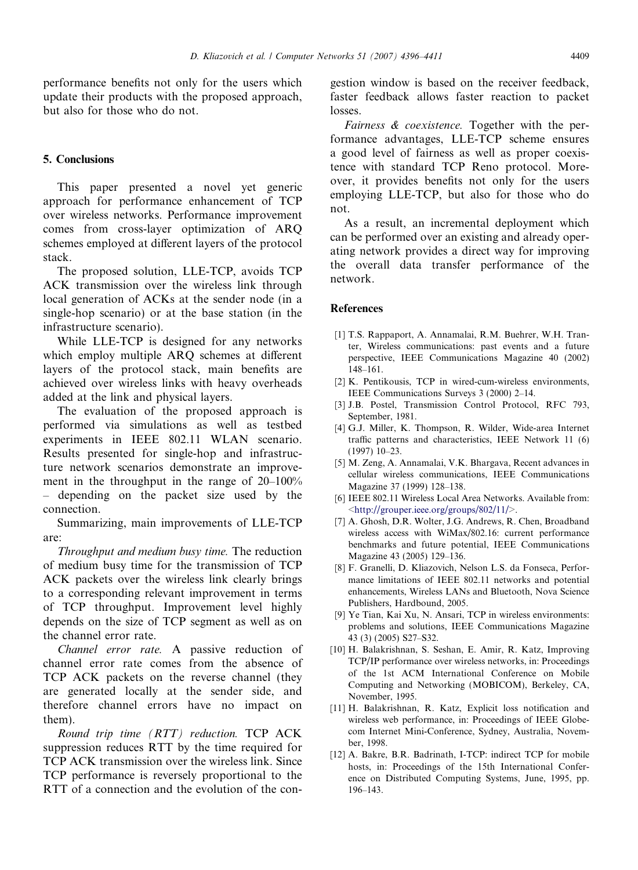<span id="page-13-0"></span>performance benefits not only for the users which update their products with the proposed approach, but also for those who do not.

# 5. Conclusions

This paper presented a novel yet generic approach for performance enhancement of TCP over wireless networks. Performance improvement comes from cross-layer optimization of ARQ schemes employed at different layers of the protocol stack.

The proposed solution, LLE-TCP, avoids TCP ACK transmission over the wireless link through local generation of ACKs at the sender node (in a single-hop scenario) or at the base station (in the infrastructure scenario).

While LLE-TCP is designed for any networks which employ multiple ARQ schemes at different layers of the protocol stack, main benefits are achieved over wireless links with heavy overheads added at the link and physical layers.

The evaluation of the proposed approach is performed via simulations as well as testbed experiments in IEEE 802.11 WLAN scenario. Results presented for single-hop and infrastructure network scenarios demonstrate an improvement in the throughput in the range of 20–100% – depending on the packet size used by the connection.

Summarizing, main improvements of LLE-TCP are:

Throughput and medium busy time. The reduction of medium busy time for the transmission of TCP ACK packets over the wireless link clearly brings to a corresponding relevant improvement in terms of TCP throughput. Improvement level highly depends on the size of TCP segment as well as on the channel error rate.

Channel error rate. A passive reduction of channel error rate comes from the absence of TCP ACK packets on the reverse channel (they are generated locally at the sender side, and therefore channel errors have no impact on them).

Round trip time (RTT) reduction. TCP ACK suppression reduces RTT by the time required for TCP ACK transmission over the wireless link. Since TCP performance is reversely proportional to the RTT of a connection and the evolution of the congestion window is based on the receiver feedback, faster feedback allows faster reaction to packet losses.

Fairness & coexistence. Together with the performance advantages, LLE-TCP scheme ensures a good level of fairness as well as proper coexistence with standard TCP Reno protocol. Moreover, it provides benefits not only for the users employing LLE-TCP, but also for those who do not.

As a result, an incremental deployment which can be performed over an existing and already operating network provides a direct way for improving the overall data transfer performance of the network.

#### **References**

- [1] T.S. Rappaport, A. Annamalai, R.M. Buehrer, W.H. Tranter, Wireless communications: past events and a future perspective, IEEE Communications Magazine 40 (2002) 148–161.
- [2] K. Pentikousis, TCP in wired-cum-wireless environments, IEEE Communications Surveys 3 (2000) 2–14.
- [3] J.B. Postel, Transmission Control Protocol, RFC 793, September, 1981.
- [4] G.J. Miller, K. Thompson, R. Wilder, Wide-area Internet traffic patterns and characteristics, IEEE Network 11 (6) (1997) 10–23.
- [5] M. Zeng, A. Annamalai, V.K. Bhargava, Recent advances in cellular wireless communications, IEEE Communications Magazine 37 (1999) 128–138.
- [6] IEEE 802.11 Wireless Local Area Networks. Available from: <<http://grouper.ieee.org/groups/802/11/>>.
- [7] A. Ghosh, D.R. Wolter, J.G. Andrews, R. Chen, Broadband wireless access with WiMax/802.16: current performance benchmarks and future potential, IEEE Communications Magazine 43 (2005) 129–136.
- [8] F. Granelli, D. Kliazovich, Nelson L.S. da Fonseca, Performance limitations of IEEE 802.11 networks and potential enhancements, Wireless LANs and Bluetooth, Nova Science Publishers, Hardbound, 2005.
- [9] Ye Tian, Kai Xu, N. Ansari, TCP in wireless environments: problems and solutions, IEEE Communications Magazine 43 (3) (2005) S27–S32.
- [10] H. Balakrishnan, S. Seshan, E. Amir, R. Katz, Improving TCP/IP performance over wireless networks, in: Proceedings of the 1st ACM International Conference on Mobile Computing and Networking (MOBICOM), Berkeley, CA, November, 1995.
- [11] H. Balakrishnan, R. Katz, Explicit loss notification and wireless web performance, in: Proceedings of IEEE Globecom Internet Mini-Conference, Sydney, Australia, November, 1998.
- [12] A. Bakre, B.R. Badrinath, I-TCP: indirect TCP for mobile hosts, in: Proceedings of the 15th International Conference on Distributed Computing Systems, June, 1995, pp. 196–143.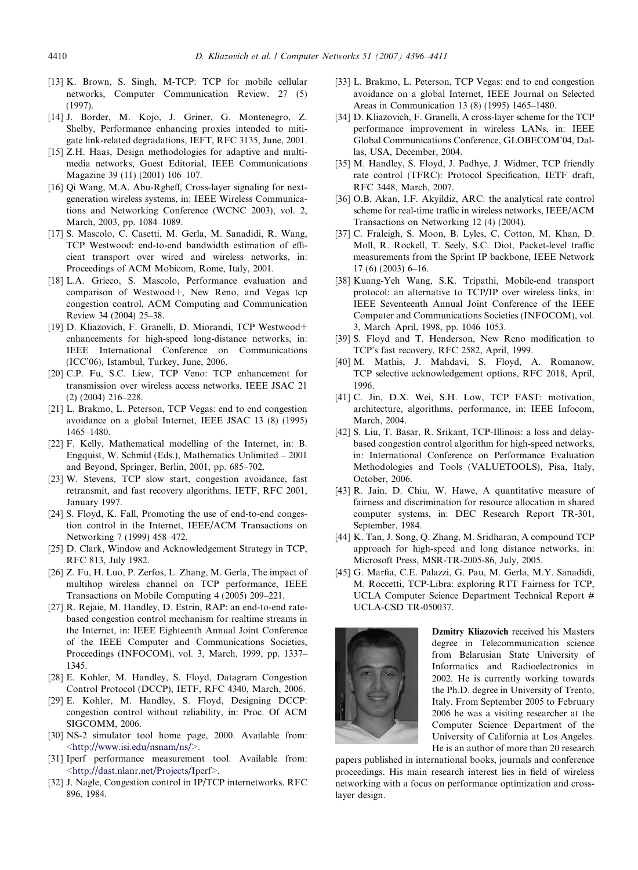- <span id="page-14-0"></span>[13] K. Brown, S. Singh, M-TCP: TCP for mobile cellular networks, Computer Communication Review. 27 (5) (1997).
- [14] J. Border, M. Kojo, J. Griner, G. Montenegro, Z. Shelby, Performance enhancing proxies intended to mitigate link-related degradations, IEFT, RFC 3135, June, 2001.
- [15] Z.H. Haas, Design methodologies for adaptive and multimedia networks, Guest Editorial, IEEE Communications Magazine 39 (11) (2001) 106–107.
- [16] Qi Wang, M.A. Abu-Rgheff, Cross-layer signaling for nextgeneration wireless systems, in: IEEE Wireless Communications and Networking Conference (WCNC 2003), vol. 2, March, 2003, pp. 1084–1089.
- [17] S. Mascolo, C. Casetti, M. Gerla, M. Sanadidi, R. Wang, TCP Westwood: end-to-end bandwidth estimation of efficient transport over wired and wireless networks, in: Proceedings of ACM Mobicom, Rome, Italy, 2001.
- [18] L.A. Grieco, S. Mascolo, Performance evaluation and comparison of Westwood+, New Reno, and Vegas tcp congestion control, ACM Computing and Communication Review 34 (2004) 25–38.
- [19] D. Kliazovich, F. Granelli, D. Miorandi, TCP Westwood+ enhancements for high-speed long-distance networks, in: IEEE International Conference on Communications (ICC'06), Istambul, Turkey, June, 2006.
- [20] C.P. Fu, S.C. Liew, TCP Veno: TCP enhancement for transmission over wireless access networks, IEEE JSAC 21 (2) (2004) 216–228.
- [21] L. Brakmo, L. Peterson, TCP Vegas: end to end congestion avoidance on a global Internet, IEEE JSAC 13 (8) (1995) 1465–1480.
- [22] F. Kelly, Mathematical modelling of the Internet, in: B. Engquist, W. Schmid (Eds.), Mathematics Unlimited – 2001 and Beyond, Springer, Berlin, 2001, pp. 685–702.
- [23] W. Stevens, TCP slow start, congestion avoidance, fast retransmit, and fast recovery algorithms, IETF, RFC 2001, January 1997.
- [24] S. Floyd, K. Fall, Promoting the use of end-to-end congestion control in the Internet, IEEE/ACM Transactions on Networking 7 (1999) 458–472.
- [25] D. Clark, Window and Acknowledgement Strategy in TCP, RFC 813, July 1982.
- [26] Z. Fu, H. Luo, P. Zerfos, L. Zhang, M. Gerla, The impact of multihop wireless channel on TCP performance, IEEE Transactions on Mobile Computing 4 (2005) 209–221.
- [27] R. Rejaie, M. Handley, D. Estrin, RAP: an end-to-end ratebased congestion control mechanism for realtime streams in the Internet, in: IEEE Eighteenth Annual Joint Conference of the IEEE Computer and Communications Societies, Proceedings (INFOCOM), vol. 3, March, 1999, pp. 1337– 1345.
- [28] E. Kohler, M. Handley, S. Floyd, Datagram Congestion Control Protocol (DCCP), IETF, RFC 4340, March, 2006.
- [29] E. Kohler, M. Handley, S. Floyd, Designing DCCP: congestion control without reliability, in: Proc. Of ACM SIGCOMM, 2006.
- [30] NS-2 simulator tool home page, 2000. Available from: <<http://www.isi.edu/nsnam/ns/>>.
- [31] Iperf performance measurement tool. Available from: <<http://dast.nlanr.net/Projects/Iperf>>.
- [32] J. Nagle, Congestion control in IP/TCP internetworks, RFC 896, 1984.
- [33] L. Brakmo, L. Peterson, TCP Vegas: end to end congestion avoidance on a global Internet, IEEE Journal on Selected Areas in Communication 13 (8) (1995) 1465–1480.
- [34] D. Kliazovich, F. Granelli, A cross-layer scheme for the TCP performance improvement in wireless LANs, in: IEEE Global Communications Conference, GLOBECOM'04, Dallas, USA, December, 2004.
- [35] M. Handley, S. Floyd, J. Padhye, J. Widmer, TCP friendly rate control (TFRC): Protocol Specification, IETF draft, RFC 3448, March, 2007.
- [36] O.B. Akan, I.F. Akyildiz, ARC: the analytical rate control scheme for real-time traffic in wireless networks, IEEE/ACM Transactions on Networking 12 (4) (2004).
- [37] C. Fraleigh, S. Moon, B. Lyles, C. Cotton, M. Khan, D. Moll, R. Rockell, T. Seely, S.C. Diot, Packet-level traffic measurements from the Sprint IP backbone, IEEE Network 17 (6) (2003) 6–16.
- [38] Kuang-Yeh Wang, S.K. Tripathi, Mobile-end transport protocol: an alternative to TCP/IP over wireless links, in: IEEE Seventeenth Annual Joint Conference of the IEEE Computer and Communications Societies (INFOCOM), vol. 3, March–April, 1998, pp. 1046–1053.
- [39] S. Floyd and T. Henderson, New Reno modification to TCP's fast recovery, RFC 2582, April, 1999.
- [40] M. Mathis, J. Mahdavi, S. Floyd, A. Romanow, TCP selective acknowledgement options, RFC 2018, April, 1996.
- [41] C. Jin, D.X. Wei, S.H. Low, TCP FAST: motivation, architecture, algorithms, performance, in: IEEE Infocom, March, 2004.
- [42] S. Liu, T. Basar, R. Srikant, TCP-Illinois: a loss and delaybased congestion control algorithm for high-speed networks, in: International Conference on Performance Evaluation Methodologies and Tools (VALUETOOLS), Pisa, Italy, October, 2006.
- [43] R. Jain, D. Chiu, W. Hawe, A quantitative measure of fairness and discrimination for resource allocation in shared computer systems, in: DEC Research Report TR-301, September, 1984.
- [44] K. Tan, J. Song, Q. Zhang, M. Sridharan, A compound TCP approach for high-speed and long distance networks, in: Microsoft Press, MSR-TR-2005-86, July, 2005.
- [45] G. Marfia, C.E. Palazzi, G. Pau, M. Gerla, M.Y. Sanadidi, M. Roccetti, TCP-Libra: exploring RTT Fairness for TCP, UCLA Computer Science Department Technical Report # UCLA-CSD TR-050037.



Dzmitry Kliazovich received his Masters degree in Telecommunication science from Belarusian State University of Informatics and Radioelectronics in 2002. He is currently working towards the Ph.D. degree in University of Trento, Italy. From September 2005 to February 2006 he was a visiting researcher at the Computer Science Department of the University of California at Los Angeles. He is an author of more than 20 research

papers published in international books, journals and conference proceedings. His main research interest lies in field of wireless networking with a focus on performance optimization and crosslayer design.